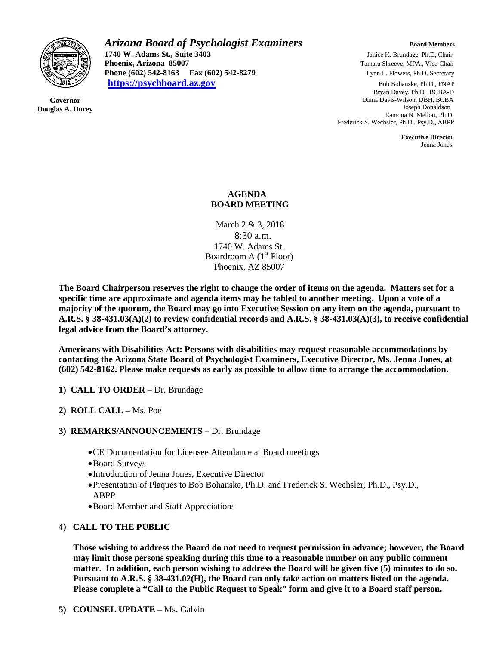

**Governor Douglas A. Ducey** *Arizona Board of Psychologist Examiners Board Members* **Board Members 1740 W. Adams St., Suite 3403** *Janice K. Brundage, Ph.D, Chair*<br> **1740 W. Adams St., Suite 3403** *Janice K. Brundage, Ph.D, Chair*<br>
Tamara Shreeve, MPA., Vice-Chair **Phoenix, Arizona 85007** Tamara Shreeve, MPA., Vice-Chair **Phone (602) 542-8163 Fax (602) 542-8279** Lynn L. Flowers, Ph.D. Secretary **[https://psychboard.az.gov](https://psychboard.az.gov/)** Bob Bohanske, Ph.D., FNAP

 Bryan Davey, Ph.D., BCBA-D Diana Davis-Wilson, DBH, BCBA Joseph Donaldson Ramona N. Mellott, Ph.D. Frederick S. Wechsler, Ph.D., Psy.D., ABPP

 **Executive Director** Jenna Jones

### **AGENDA BOARD MEETING**

March 2 & 3, 2018 8:30 a.m. 1740 W. Adams St. Boardroom A  $(1<sup>st</sup>$  Floor) Phoenix, AZ 85007

**The Board Chairperson reserves the right to change the order of items on the agenda. Matters set for a specific time are approximate and agenda items may be tabled to another meeting. Upon a vote of a majority of the quorum, the Board may go into Executive Session on any item on the agenda, pursuant to A.R.S. § 38-431.03(A)(2) to review confidential records and A.R.S. § 38-431.03(A)(3), to receive confidential legal advice from the Board's attorney.**

**Americans with Disabilities Act: Persons with disabilities may request reasonable accommodations by contacting the Arizona State Board of Psychologist Examiners, Executive Director, Ms. Jenna Jones, at (602) 542-8162. Please make requests as early as possible to allow time to arrange the accommodation.**

- **1) CALL TO ORDER** Dr. Brundage
- **2) ROLL CALL** Ms. Poe
- **3) REMARKS/ANNOUNCEMENTS** Dr. Brundage
	- •CE Documentation for Licensee Attendance at Board meetings
	- •Board Surveys
	- •Introduction of Jenna Jones, Executive Director
	- •Presentation of Plaques to Bob Bohanske, Ph.D. and Frederick S. Wechsler, Ph.D., Psy.D., ABPP
	- •Board Member and Staff Appreciations

# **4) CALL TO THE PUBLIC**

**Those wishing to address the Board do not need to request permission in advance; however, the Board may limit those persons speaking during this time to a reasonable number on any public comment matter. In addition, each person wishing to address the Board will be given five (5) minutes to do so. Pursuant to A.R.S. § 38-431.02(H), the Board can only take action on matters listed on the agenda. Please complete a "Call to the Public Request to Speak" form and give it to a Board staff person.**

**5) COUNSEL UPDATE** – Ms. Galvin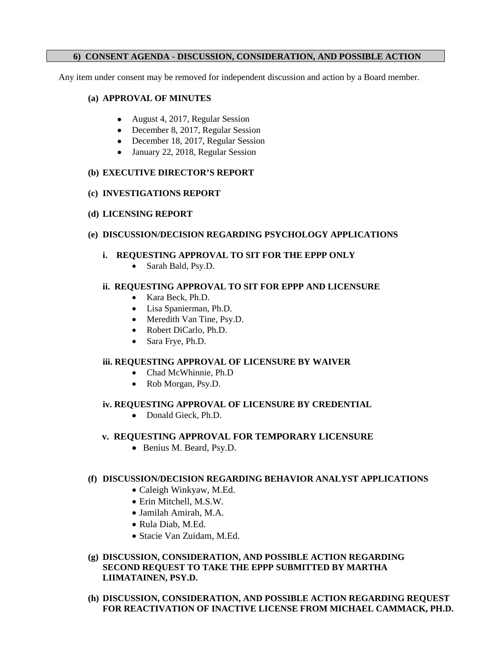# **6) CONSENT AGENDA - DISCUSSION, CONSIDERATION, AND POSSIBLE ACTION**

Any item under consent may be removed for independent discussion and action by a Board member.

### **(a) APPROVAL OF MINUTES**

- August 4, 2017, Regular Session
- December 8, 2017, Regular Session
- December 18, 2017, Regular Session
- January 22, 2018, Regular Session

## **(b) EXECUTIVE DIRECTOR'S REPORT**

## **(c) INVESTIGATIONS REPORT**

## **(d) LICENSING REPORT**

## **(e) DISCUSSION/DECISION REGARDING PSYCHOLOGY APPLICATIONS**

# **i. REQUESTING APPROVAL TO SIT FOR THE EPPP ONLY**

• Sarah Bald, Psy.D.

## **ii. REQUESTING APPROVAL TO SIT FOR EPPP AND LICENSURE**

- Kara Beck, Ph.D.
- Lisa Spanierman, Ph.D.
- Meredith Van Tine, Psy.D.
- Robert DiCarlo, Ph.D.
- Sara Frye, Ph.D.

### **iii. REQUESTING APPROVAL OF LICENSURE BY WAIVER**

- Chad McWhinnie, Ph.D
- Rob Morgan, Psy.D.

### **iv. REQUESTING APPROVAL OF LICENSURE BY CREDENTIAL**

• Donald Gieck, Ph.D.

# **v. REQUESTING APPROVAL FOR TEMPORARY LICENSURE**

• Benius M. Beard, Psy.D.

### **(f) DISCUSSION/DECISION REGARDING BEHAVIOR ANALYST APPLICATIONS**

- Caleigh Winkyaw, M.Ed.
- Erin Mitchell, M.S.W.
- Jamilah Amirah, M.A.
- Rula Diab, M.Ed.
- Stacie Van Zuidam, M.Ed.

## **(g) DISCUSSION, CONSIDERATION, AND POSSIBLE ACTION REGARDING SECOND REQUEST TO TAKE THE EPPP SUBMITTED BY MARTHA LIIMATAINEN, PSY.D.**

**(h) DISCUSSION, CONSIDERATION, AND POSSIBLE ACTION REGARDING REQUEST FOR REACTIVATION OF INACTIVE LICENSE FROM MICHAEL CAMMACK, PH.D.**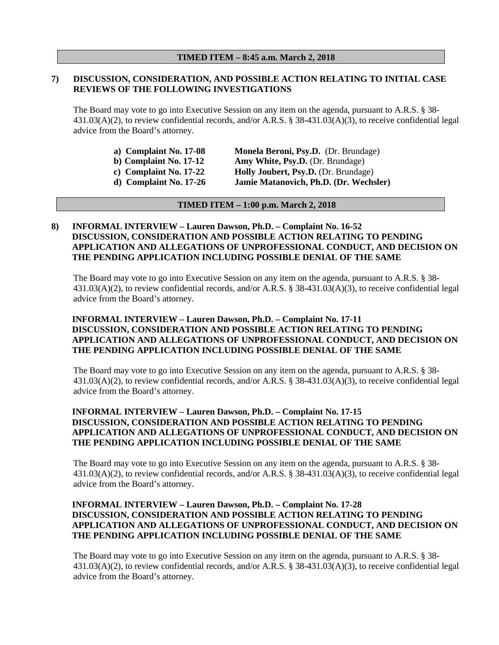## **7) DISCUSSION, CONSIDERATION, AND POSSIBLE ACTION RELATING TO INITIAL CASE REVIEWS OF THE FOLLOWING INVESTIGATIONS**

The Board may vote to go into Executive Session on any item on the agenda, pursuant to A.R.S. § 38- 431.03(A)(2), to review confidential records, and/or A.R.S. § 38-431.03(A)(3), to receive confidential legal advice from the Board's attorney.

| a) Complaint No. $17-08$ | Monela Beroni, Psy.D. (Dr. Brundage)   |
|--------------------------|----------------------------------------|
| b) Complaint No. $17-12$ | Amy White, Psy.D. (Dr. Brundage)       |
| c) Complaint No. $17-22$ | Holly Joubert, Psy.D. (Dr. Brundage)   |
| $d)$ Complaint No. 17-26 | Jamie Matanovich, Ph.D. (Dr. Wechsler) |

#### **TIMED ITEM – 1:00 p.m. March 2, 2018**

### **8) INFORMAL INTERVIEW – Lauren Dawson, Ph.D. – Complaint No. 16-52 DISCUSSION, CONSIDERATION AND POSSIBLE ACTION RELATING TO PENDING APPLICATION AND ALLEGATIONS OF UNPROFESSIONAL CONDUCT, AND DECISION ON THE PENDING APPLICATION INCLUDING POSSIBLE DENIAL OF THE SAME**

The Board may vote to go into Executive Session on any item on the agenda, pursuant to A.R.S. § 38- 431.03(A)(2), to review confidential records, and/or A.R.S. § 38-431.03(A)(3), to receive confidential legal advice from the Board's attorney.

### **INFORMAL INTERVIEW – Lauren Dawson, Ph.D. – Complaint No. 17-11 DISCUSSION, CONSIDERATION AND POSSIBLE ACTION RELATING TO PENDING APPLICATION AND ALLEGATIONS OF UNPROFESSIONAL CONDUCT, AND DECISION ON THE PENDING APPLICATION INCLUDING POSSIBLE DENIAL OF THE SAME**

The Board may vote to go into Executive Session on any item on the agenda, pursuant to A.R.S. § 38- 431.03(A)(2), to review confidential records, and/or A.R.S. § 38-431.03(A)(3), to receive confidential legal advice from the Board's attorney.

## **INFORMAL INTERVIEW – Lauren Dawson, Ph.D. – Complaint No. 17-15 DISCUSSION, CONSIDERATION AND POSSIBLE ACTION RELATING TO PENDING APPLICATION AND ALLEGATIONS OF UNPROFESSIONAL CONDUCT, AND DECISION ON THE PENDING APPLICATION INCLUDING POSSIBLE DENIAL OF THE SAME**

The Board may vote to go into Executive Session on any item on the agenda, pursuant to A.R.S. § 38- 431.03(A)(2), to review confidential records, and/or A.R.S. § 38-431.03(A)(3), to receive confidential legal advice from the Board's attorney.

## **INFORMAL INTERVIEW – Lauren Dawson, Ph.D. – Complaint No. 17-28 DISCUSSION, CONSIDERATION AND POSSIBLE ACTION RELATING TO PENDING APPLICATION AND ALLEGATIONS OF UNPROFESSIONAL CONDUCT, AND DECISION ON THE PENDING APPLICATION INCLUDING POSSIBLE DENIAL OF THE SAME**

The Board may vote to go into Executive Session on any item on the agenda, pursuant to A.R.S. § 38- 431.03(A)(2), to review confidential records, and/or A.R.S. § 38-431.03(A)(3), to receive confidential legal advice from the Board's attorney.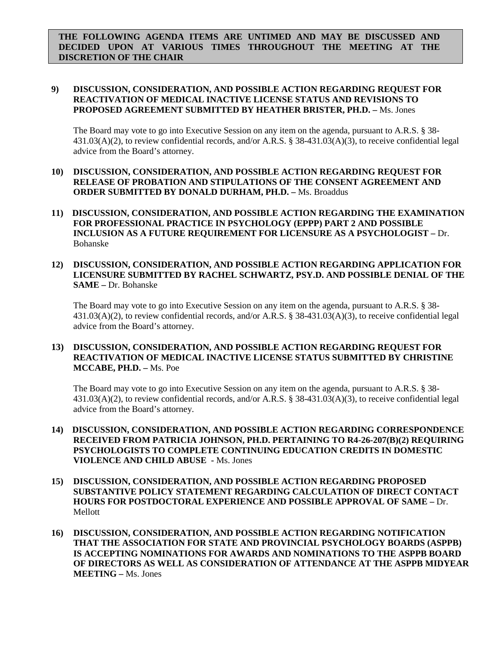**THE FOLLOWING AGENDA ITEMS ARE UNTIMED AND MAY BE DISCUSSED AND DECIDED UPON AT VARIOUS TIMES THROUGHOUT THE MEETING AT THE DISCRETION OF THE CHAIR**

## **9) DISCUSSION, CONSIDERATION, AND POSSIBLE ACTION REGARDING REQUEST FOR REACTIVATION OF MEDICAL INACTIVE LICENSE STATUS AND REVISIONS TO PROPOSED AGREEMENT SUBMITTED BY HEATHER BRISTER, PH.D. –** Ms. Jones

The Board may vote to go into Executive Session on any item on the agenda, pursuant to A.R.S. § 38-431.03(A)(2), to review confidential records, and/or A.R.S. § 38-431.03(A)(3), to receive confidential legal advice from the Board's attorney.

- **10) DISCUSSION, CONSIDERATION, AND POSSIBLE ACTION REGARDING REQUEST FOR RELEASE OF PROBATION AND STIPULATIONS OF THE CONSENT AGREEMENT AND ORDER SUBMITTED BY DONALD DURHAM, PH.D. –** Ms. Broaddus
- **11) DISCUSSION, CONSIDERATION, AND POSSIBLE ACTION REGARDING THE EXAMINATION FOR PROFESSIONAL PRACTICE IN PSYCHOLOGY (EPPP) PART 2 AND POSSIBLE INCLUSION AS A FUTURE REQUIREMENT FOR LICENSURE AS A PSYCHOLOGIST –** Dr. Bohanske
- **12) DISCUSSION, CONSIDERATION, AND POSSIBLE ACTION REGARDING APPLICATION FOR LICENSURE SUBMITTED BY RACHEL SCHWARTZ, PSY.D. AND POSSIBLE DENIAL OF THE SAME –** Dr. Bohanske

The Board may vote to go into Executive Session on any item on the agenda, pursuant to A.R.S. § 38- 431.03(A)(2), to review confidential records, and/or A.R.S. § 38-431.03(A)(3), to receive confidential legal advice from the Board's attorney.

**13) DISCUSSION, CONSIDERATION, AND POSSIBLE ACTION REGARDING REQUEST FOR REACTIVATION OF MEDICAL INACTIVE LICENSE STATUS SUBMITTED BY CHRISTINE MCCABE, PH.D. –** Ms. Poe

The Board may vote to go into Executive Session on any item on the agenda, pursuant to A.R.S. § 38- 431.03(A)(2), to review confidential records, and/or A.R.S. § 38-431.03(A)(3), to receive confidential legal advice from the Board's attorney.

- **14) DISCUSSION, CONSIDERATION, AND POSSIBLE ACTION REGARDING CORRESPONDENCE RECEIVED FROM PATRICIA JOHNSON, PH.D. PERTAINING TO R4-26-207(B)(2) REQUIRING PSYCHOLOGISTS TO COMPLETE CONTINUING EDUCATION CREDITS IN DOMESTIC VIOLENCE AND CHILD ABUSE -** Ms. Jones
- **15) DISCUSSION, CONSIDERATION, AND POSSIBLE ACTION REGARDING PROPOSED SUBSTANTIVE POLICY STATEMENT REGARDING CALCULATION OF DIRECT CONTACT HOURS FOR POSTDOCTORAL EXPERIENCE AND POSSIBLE APPROVAL OF SAME –** Dr. Mellott
- **16) DISCUSSION, CONSIDERATION, AND POSSIBLE ACTION REGARDING NOTIFICATION THAT THE ASSOCIATION FOR STATE AND PROVINCIAL PSYCHOLOGY BOARDS (ASPPB) IS ACCEPTING NOMINATIONS FOR AWARDS AND NOMINATIONS TO THE ASPPB BOARD OF DIRECTORS AS WELL AS CONSIDERATION OF ATTENDANCE AT THE ASPPB MIDYEAR MEETING –** Ms. Jones